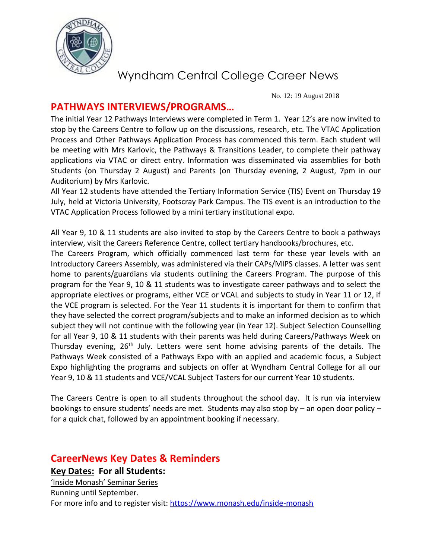

No. 12: 19 August 2018

#### **PATHWAYS INTERVIEWS/PROGRAMS…**

The initial Year 12 Pathways Interviews were completed in Term 1. Year 12's are now invited to stop by the Careers Centre to follow up on the discussions, research, etc. The VTAC Application Process and Other Pathways Application Process has commenced this term. Each student will be meeting with Mrs Karlovic, the Pathways & Transitions Leader, to complete their pathway applications via VTAC or direct entry. Information was disseminated via assemblies for both Students (on Thursday 2 August) and Parents (on Thursday evening, 2 August, 7pm in our Auditorium) by Mrs Karlovic.

All Year 12 students have attended the Tertiary Information Service (TIS) Event on Thursday 19 July, held at Victoria University, Footscray Park Campus. The TIS event is an introduction to the VTAC Application Process followed by a mini tertiary institutional expo.

All Year 9, 10 & 11 students are also invited to stop by the Careers Centre to book a pathways interview, visit the Careers Reference Centre, collect tertiary handbooks/brochures, etc.

The Careers Program, which officially commenced last term for these year levels with an Introductory Careers Assembly, was administered via their CAPs/MIPS classes. A letter was sent home to parents/guardians via students outlining the Careers Program. The purpose of this program for the Year 9, 10 & 11 students was to investigate career pathways and to select the appropriate electives or programs, either VCE or VCAL and subjects to study in Year 11 or 12, if the VCE program is selected. For the Year 11 students it is important for them to confirm that they have selected the correct program/subjects and to make an informed decision as to which subject they will not continue with the following year (in Year 12). Subject Selection Counselling for all Year 9, 10 & 11 students with their parents was held during Careers/Pathways Week on Thursday evening, 26<sup>th</sup> July. Letters were sent home advising parents of the details. The Pathways Week consisted of a Pathways Expo with an applied and academic focus, a Subject Expo highlighting the programs and subjects on offer at Wyndham Central College for all our Year 9, 10 & 11 students and VCE/VCAL Subject Tasters for our current Year 10 students.

The Careers Centre is open to all students throughout the school day. It is run via interview bookings to ensure students' needs are met. Students may also stop by – an open door policy – for a quick chat, followed by an appointment booking if necessary.

### **CareerNews Key Dates & Reminders**

**Key Dates: For all Students:**

'Inside Monash' Seminar Series Running until September. For more info and to register visit:<https://www.monash.edu/inside-monash>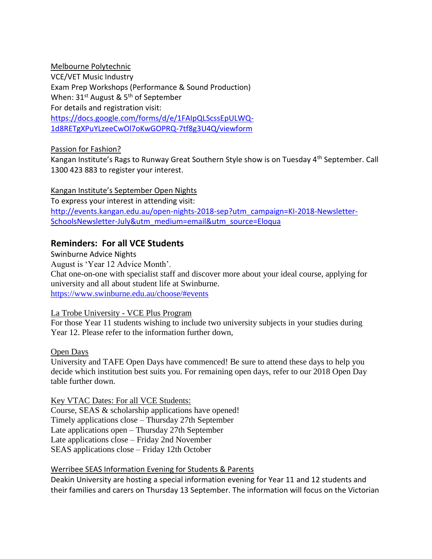Melbourne Polytechnic VCE/VET Music Industry Exam Prep Workshops (Performance & Sound Production) When:  $31^{st}$  August &  $5^{th}$  of September For details and registration visit: [https://docs.google.com/forms/d/e/1FAIpQLScssEpULWQ-](https://docs.google.com/forms/d/e/1FAIpQLScssEpULWQ-1d8RETgXPuYLzeeCwOl7oKwGOPRQ-7tf8g3U4Q/viewform)[1d8RETgXPuYLzeeCwOl7oKwGOPRQ-7tf8g3U4Q/viewform](https://docs.google.com/forms/d/e/1FAIpQLScssEpULWQ-1d8RETgXPuYLzeeCwOl7oKwGOPRQ-7tf8g3U4Q/viewform)

Passion for Fashion?

Kangan Institute's Rags to Runway Great Southern Style show is on Tuesday 4th September. Call 1300 423 883 to register your interest.

Kangan Institute's September Open Nights To express your interest in attending visit: [http://events.kangan.edu.au/open-nights-2018-sep?utm\\_campaign=KI-2018-Newsletter-](http://events.kangan.edu.au/open-nights-2018-sep?utm_campaign=KI-2018-Newsletter-SchoolsNewsletter-July&utm_medium=email&utm_source=Eloqua)[SchoolsNewsletter-July&utm\\_medium=email&utm\\_source=Eloqua](http://events.kangan.edu.au/open-nights-2018-sep?utm_campaign=KI-2018-Newsletter-SchoolsNewsletter-July&utm_medium=email&utm_source=Eloqua)

#### **Reminders: For all VCE Students**

Swinburne Advice Nights August is 'Year 12 Advice Month'. Chat one-on-one with specialist staff and discover more about your ideal course, applying for university and all about student life at Swinburne. <https://www.swinburne.edu.au/choose/#events>

#### La Trobe University - VCE Plus Program

For those Year 11 students wishing to include two university subjects in your studies during Year 12. Please refer to the information further down,

Open Days

University and TAFE Open Days have commenced! Be sure to attend these days to help you decide which institution best suits you. For remaining open days, refer to our 2018 Open Day table further down.

#### Key VTAC Dates: For all VCE Students:

Course, SEAS & scholarship applications have opened! Timely applications close – Thursday 27th September Late applications open – Thursday 27th September Late applications close – Friday 2nd November SEAS applications close – Friday 12th October

#### Werribee SEAS Information Evening for Students & Parents

Deakin University are hosting a special information evening for Year 11 and 12 students and their families and carers on Thursday 13 September. The information will focus on the Victorian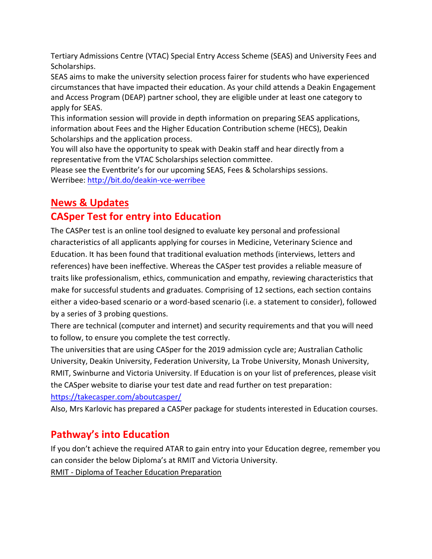Tertiary Admissions Centre (VTAC) Special Entry Access Scheme (SEAS) and University Fees and Scholarships.

SEAS aims to make the university selection process fairer for students who have experienced circumstances that have impacted their education. As your child attends a Deakin Engagement and Access Program (DEAP) partner school, they are eligible under at least one category to apply for SEAS.

This information session will provide in depth information on preparing SEAS applications, information about Fees and the Higher Education Contribution scheme (HECS), Deakin Scholarships and the application process.

You will also have the opportunity to speak with Deakin staff and hear directly from a representative from the VTAC Scholarships selection committee.

Please see the Eventbrite's for our upcoming SEAS, Fees & Scholarships sessions. Werribee:<http://bit.do/deakin-vce-werribee>

## **News & Updates**

## **CASper Test for entry into Education**

The CASPer test is an online tool designed to evaluate key personal and professional characteristics of all applicants applying for courses in Medicine, Veterinary Science and Education. It has been found that traditional evaluation methods (interviews, letters and references) have been ineffective. Whereas the CASper test provides a reliable measure of traits like professionalism, ethics, communication and empathy, reviewing characteristics that make for successful students and graduates. Comprising of 12 sections, each section contains either a video-based scenario or a word-based scenario (i.e. a statement to consider), followed by a series of 3 probing questions.

There are technical (computer and internet) and security requirements and that you will need to follow, to ensure you complete the test correctly.

The universities that are using CASper for the 2019 admission cycle are; Australian Catholic University, Deakin University, Federation University, La Trobe University, Monash University, RMIT, Swinburne and Victoria University. If Education is on your list of preferences, please visit the CASper website to diarise your test date and read further on test preparation: <https://takecasper.com/aboutcasper/>

Also, Mrs Karlovic has prepared a CASPer package for students interested in Education courses.

## **Pathway's into Education**

If you don't achieve the required ATAR to gain entry into your Education degree, remember you can consider the below Diploma's at RMIT and Victoria University. RMIT - Diploma of Teacher Education Preparation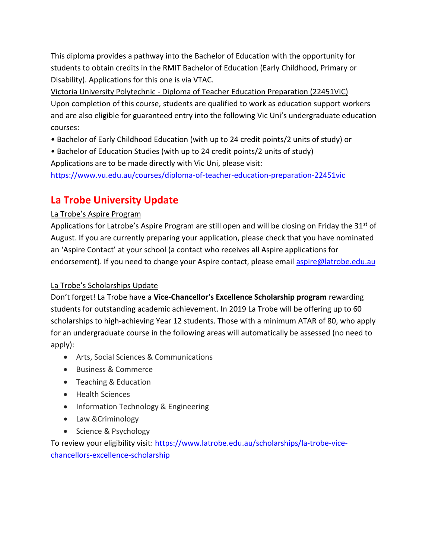This diploma provides a pathway into the Bachelor of Education with the opportunity for students to obtain credits in the RMIT Bachelor of Education (Early Childhood, Primary or Disability). Applications for this one is via VTAC.

Victoria University Polytechnic - Diploma of Teacher Education Preparation (22451VIC) Upon completion of this course, students are qualified to work as education support workers and are also eligible for guaranteed entry into the following Vic Uni's undergraduate education courses:

- Bachelor of Early Childhood Education (with up to 24 credit points/2 units of study) or
- Bachelor of Education Studies (with up to 24 credit points/2 units of study)

Applications are to be made directly with Vic Uni, please visit:

<https://www.vu.edu.au/courses/diploma-of-teacher-education-preparation-22451vic>

## **La Trobe University Update**

#### La Trobe's Aspire Program

Applications for Latrobe's Aspire Program are still open and will be closing on Friday the  $31<sup>st</sup>$  of August. If you are currently preparing your application, please check that you have nominated an 'Aspire Contact' at your school (a contact who receives all Aspire applications for endorsement). If you need to change your Aspire contact, please email aspire@latrobe.edu.au

#### La Trobe's Scholarships Update

Don't forget! La Trobe have a **Vice-Chancellor's Excellence Scholarship program** rewarding students for outstanding academic achievement. In 2019 La Trobe will be offering up to 60 scholarships to high-achieving Year 12 students. Those with a minimum ATAR of 80, who apply for an undergraduate course in the following areas will automatically be assessed (no need to apply):

- Arts, Social Sciences & Communications
- Business & Commerce
- Teaching & Education
- Health Sciences
- Information Technology & Engineering
- Law & Criminology
- Science & Psychology

To review your eligibility visit: [https://www.latrobe.edu.au/scholarships/la-trobe-vice](https://www.latrobe.edu.au/scholarships/la-trobe-vice-chancellors-excellence-scholarship)[chancellors-excellence-scholarship](https://www.latrobe.edu.au/scholarships/la-trobe-vice-chancellors-excellence-scholarship)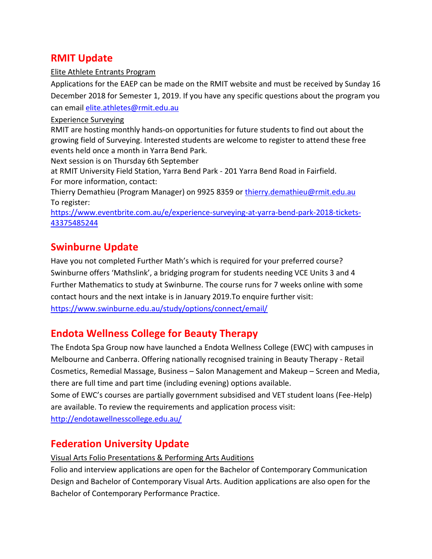### **RMIT Update**

#### Elite Athlete Entrants Program

Applications for the EAEP can be made on the RMIT website and must be received by Sunday 16 December 2018 for Semester 1, 2019. If you have any specific questions about the program you can email [elite.athletes@rmit.edu.au](mailto:elite.athletes@rmit.edu.au)

#### Experience Surveying

RMIT are hosting monthly hands-on opportunities for future students to find out about the growing field of Surveying. Interested students are welcome to register to attend these free events held once a month in Yarra Bend Park.

Next session is on Thursday 6th September

at RMIT University Field Station, Yarra Bend Park - 201 Yarra Bend Road in Fairfield. For more information, contact:

Thierry Demathieu (Program Manager) on 9925 8359 or [thierry.demathieu@rmit.edu.au](mailto:thierry.demathieu@rmit.edu.au)  To register:

[https://www.eventbrite.com.au/e/experience-surveying-at-yarra-bend-park-2018-tickets-](https://www.eventbrite.com.au/e/experience-surveying-at-yarra-bend-park-2018-tickets-43375485244)[43375485244](https://www.eventbrite.com.au/e/experience-surveying-at-yarra-bend-park-2018-tickets-43375485244)

## **Swinburne Update**

Have you not completed Further Math's which is required for your preferred course? Swinburne offers 'Mathslink', a bridging program for students needing VCE Units 3 and 4 Further Mathematics to study at Swinburne. The course runs for 7 weeks online with some contact hours and the next intake is in January 2019.To enquire further visit: <https://www.swinburne.edu.au/study/options/connect/email/>

## **Endota Wellness College for Beauty Therapy**

The Endota Spa Group now have launched a Endota Wellness College (EWC) with campuses in Melbourne and Canberra. Offering nationally recognised training in Beauty Therapy - Retail Cosmetics, Remedial Massage, Business – Salon Management and Makeup – Screen and Media, there are full time and part time (including evening) options available. Some of EWC's courses are partially government subsidised and VET student loans (Fee-Help)

are available. To review the requirements and application process visit:

<http://endotawellnesscollege.edu.au/>

## **Federation University Update**

Visual Arts Folio Presentations & Performing Arts Auditions

Folio and interview applications are open for the Bachelor of Contemporary Communication Design and Bachelor of Contemporary Visual Arts. Audition applications are also open for the Bachelor of Contemporary Performance Practice.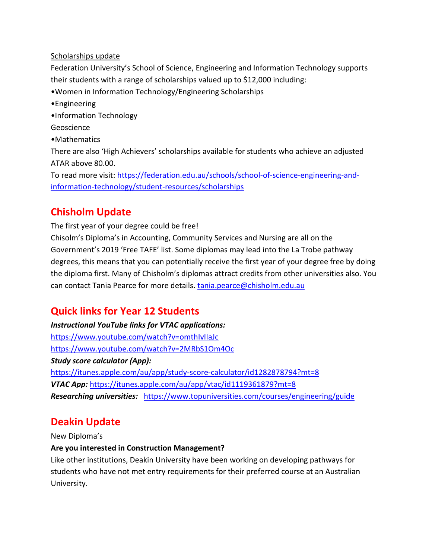#### Scholarships update

Federation University's School of Science, Engineering and Information Technology supports their students with a range of scholarships valued up to \$12,000 including:

- •Women in Information Technology/Engineering Scholarships
- •Engineering
- •Information Technology
- Geoscience
- •Mathematics

There are also 'High Achievers' scholarships available for students who achieve an adjusted ATAR above 80.00.

To read more visit: [https://federation.edu.au/schools/school-of-science-engineering-and](https://federation.edu.au/schools/school-of-science-engineering-and-information-technology/student-resources/scholarships)[information-technology/student-resources/scholarships](https://federation.edu.au/schools/school-of-science-engineering-and-information-technology/student-resources/scholarships)

## **Chisholm Update**

The first year of your degree could be free!

Chisolm's Diploma's in Accounting, Community Services and Nursing are all on the Government's 2019 'Free TAFE' list. Some diplomas may lead into the La Trobe pathway degrees, this means that you can potentially receive the first year of your degree free by doing the diploma first. Many of Chisholm's diplomas attract credits from other universities also. You can contact Tania Pearce for more details. [tania.pearce@chisholm.edu.au](mailto:tania.pearce@chisholm.edu.au)

## **Quick links for Year 12 Students**

*Instructional YouTube links for VTAC applications:*  <https://www.youtube.com/watch?v=omthIvIIaJc> <https://www.youtube.com/watch?v=2MRbS1Om4Oc> *Study score calculator (App):* <https://itunes.apple.com/au/app/study-score-calculator/id1282878794?mt=8> *VTAC App:* <https://itunes.apple.com/au/app/vtac/id1119361879?mt=8> *Researching universities:* <https://www.topuniversities.com/courses/engineering/guide>

## **Deakin Update**

New Diploma's

#### **Are you interested in Construction Management?**

Like other institutions, Deakin University have been working on developing pathways for students who have not met entry requirements for their preferred course at an Australian University.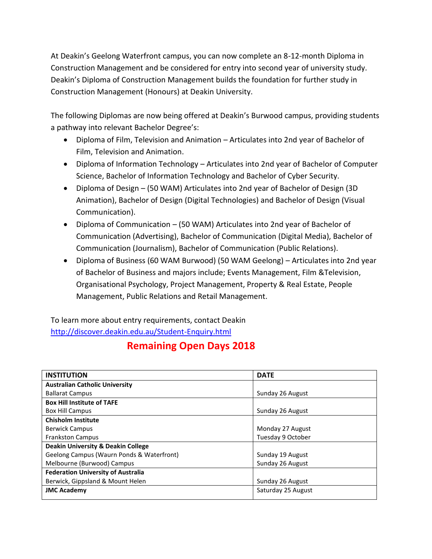At Deakin's Geelong Waterfront campus, you can now complete an 8-12-month Diploma in Construction Management and be considered for entry into second year of university study. Deakin's Diploma of Construction Management builds the foundation for further study in Construction Management (Honours) at Deakin University.

The following Diplomas are now being offered at Deakin's Burwood campus, providing students a pathway into relevant Bachelor Degree's:

- Diploma of Film, Television and Animation Articulates into 2nd year of Bachelor of Film, Television and Animation.
- Diploma of Information Technology Articulates into 2nd year of Bachelor of Computer Science, Bachelor of Information Technology and Bachelor of Cyber Security.
- Diploma of Design (50 WAM) Articulates into 2nd year of Bachelor of Design (3D Animation), Bachelor of Design (Digital Technologies) and Bachelor of Design (Visual Communication).
- Diploma of Communication (50 WAM) Articulates into 2nd year of Bachelor of Communication (Advertising), Bachelor of Communication (Digital Media), Bachelor of Communication (Journalism), Bachelor of Communication (Public Relations).
- Diploma of Business (60 WAM Burwood) (50 WAM Geelong) Articulates into 2nd year of Bachelor of Business and majors include; Events Management, Film &Television, Organisational Psychology, Project Management, Property & Real Estate, People Management, Public Relations and Retail Management.

To learn more about entry requirements, contact Deakin <http://discover.deakin.edu.au/Student-Enquiry.html>

## **Remaining Open Days 2018**

| <b>INSTITUTION</b>                            | <b>DATE</b>        |
|-----------------------------------------------|--------------------|
| <b>Australian Catholic University</b>         |                    |
| <b>Ballarat Campus</b>                        | Sunday 26 August   |
| <b>Box Hill Institute of TAFE</b>             |                    |
| <b>Box Hill Campus</b>                        | Sunday 26 August   |
| <b>Chisholm Institute</b>                     |                    |
| <b>Berwick Campus</b>                         | Monday 27 August   |
| <b>Frankston Campus</b>                       | Tuesday 9 October  |
| <b>Deakin University &amp; Deakin College</b> |                    |
| Geelong Campus (Waurn Ponds & Waterfront)     | Sunday 19 August   |
| Melbourne (Burwood) Campus                    | Sunday 26 August   |
| <b>Federation University of Australia</b>     |                    |
| Berwick, Gippsland & Mount Helen              | Sunday 26 August   |
| <b>JMC Academy</b>                            | Saturday 25 August |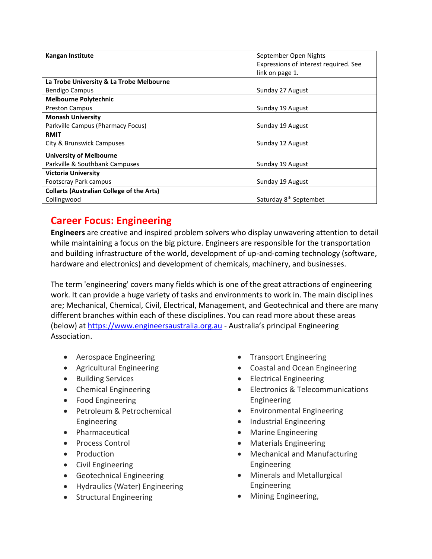| <b>Kangan Institute</b>                          | September Open Nights                 |
|--------------------------------------------------|---------------------------------------|
|                                                  | Expressions of interest required. See |
|                                                  | link on page 1.                       |
| La Trobe University & La Trobe Melbourne         |                                       |
| <b>Bendigo Campus</b>                            | Sunday 27 August                      |
| <b>Melbourne Polytechnic</b>                     |                                       |
| <b>Preston Campus</b>                            | Sunday 19 August                      |
| <b>Monash University</b>                         |                                       |
| Parkville Campus (Pharmacy Focus)                | Sunday 19 August                      |
| <b>RMIT</b>                                      |                                       |
| City & Brunswick Campuses                        | Sunday 12 August                      |
| <b>University of Melbourne</b>                   |                                       |
| Parkville & Southbank Campuses                   | Sunday 19 August                      |
| <b>Victoria University</b>                       |                                       |
| Footscray Park campus                            | Sunday 19 August                      |
| <b>Collarts (Australian College of the Arts)</b> |                                       |
| Collingwood                                      | Saturday 8 <sup>th</sup> Septembet    |

## **Career Focus: Engineering**

**Engineers** are creative and inspired problem solvers who display unwavering attention to detail while maintaining a focus on the big picture. Engineers are responsible for the transportation and building infrastructure of the world, development of up-and-coming technology (software, hardware and electronics) and development of chemicals, machinery, and businesses.

The term 'engineering' covers many fields which is one of the great attractions of engineering work. It can provide a huge variety of tasks and environments to work in. The main disciplines are; Mechanical, Chemical, Civil, Electrical, Management, and Geotechnical and there are many different branches within each of these disciplines. You can read more about these areas (below) at [https://www.engineersaustralia.org.au](https://www.engineersaustralia.org.au/) - Australia's principal Engineering Association.

- Aerospace Engineering
- Agricultural Engineering
- Building Services
- Chemical Engineering
- Food Engineering
- Petroleum & Petrochemical Engineering
- Pharmaceutical
- Process Control
- Production
- Civil Engineering
- Geotechnical Engineering
- Hydraulics (Water) Engineering
- **•** Structural Engineering
- Transport Engineering
- Coastal and Ocean Engineering
- Electrical Engineering
- Electronics & Telecommunications Engineering
- Environmental Engineering
- Industrial Engineering
- Marine Engineering
- Materials Engineering
- Mechanical and Manufacturing Engineering
- Minerals and Metallurgical Engineering
- Mining Engineering,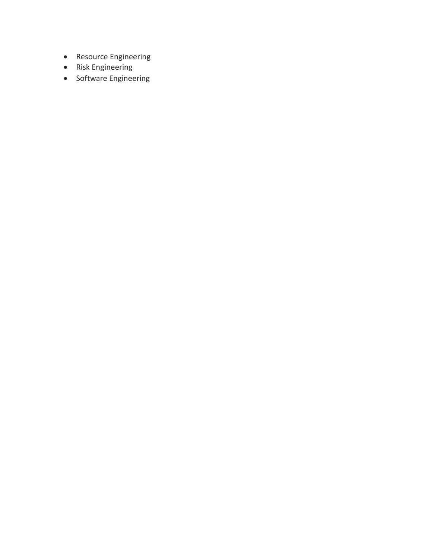- Resource Engineering
- Risk Engineering
- Software Engineering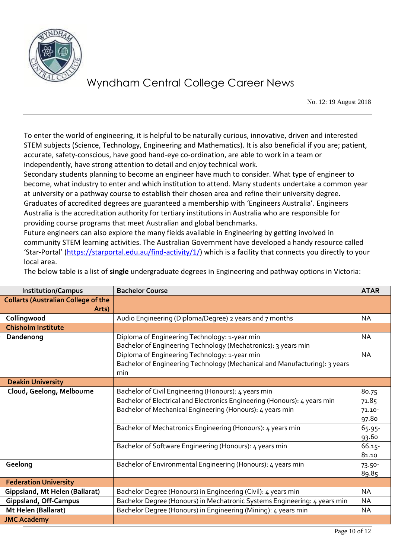

No. 12: 19 August 2018

To enter the world of engineering, it is helpful to be naturally curious, innovative, driven and interested STEM subjects (Science, Technology, Engineering and Mathematics). It is also beneficial if you are; patient, accurate, safety-conscious, have good hand-eye co-ordination, are able to work in a team or independently, have strong attention to detail and enjoy technical work.

Secondary students planning to become an engineer have much to consider. What type of engineer to become, what industry to enter and which institution to attend. Many students undertake a common year at university or a pathway course to establish their chosen area and refine their university degree. Graduates of accredited degrees are guaranteed a membership with 'Engineers Australia'. Engineers Australia is the accreditation authority for tertiary institutions in Australia who are responsible for providing course programs that meet Australian and global benchmarks.

Future engineers can also explore the many fields available in Engineering by getting involved in community STEM learning activities. The Australian Government have developed a handy resource called 'Star-Portal' ([https://starportal.edu.au/find-activity/1/\)](https://starportal.edu.au/find-activity/1/) which is a facility that connects you directly to your local area.

| <b>Institution/Campus</b>                  | <b>Bachelor Course</b>                                                     | <b>ATAR</b> |
|--------------------------------------------|----------------------------------------------------------------------------|-------------|
| <b>Collarts (Australian College of the</b> |                                                                            |             |
| Arts)                                      |                                                                            |             |
| Collingwood                                | Audio Engineering (Diploma/Degree) 2 years and 7 months                    | <b>NA</b>   |
| <b>Chisholm Institute</b>                  |                                                                            |             |
| Dandenong                                  | Diploma of Engineering Technology: 1-year min                              | <b>NA</b>   |
|                                            | Bachelor of Engineering Technology (Mechatronics): 3 years min             |             |
|                                            | Diploma of Engineering Technology: 1-year min                              | <b>NA</b>   |
|                                            | Bachelor of Engineering Technology (Mechanical and Manufacturing): 3 years |             |
|                                            | min                                                                        |             |
| <b>Deakin University</b>                   |                                                                            |             |
| Cloud, Geelong, Melbourne                  | Bachelor of Civil Engineering (Honours): 4 years min                       | 80.75       |
|                                            | Bachelor of Electrical and Electronics Engineering (Honours): 4 years min  | 71.85       |
|                                            | Bachelor of Mechanical Engineering (Honours): 4 years min                  | $71.10 -$   |
|                                            |                                                                            | 97.80       |
|                                            | Bachelor of Mechatronics Engineering (Honours): 4 years min                | 65.95-      |
|                                            |                                                                            | 93.60       |
|                                            | Bachelor of Software Engineering (Honours): 4 years min                    | 66.15-      |
|                                            |                                                                            | 81.10       |
| Geelong                                    | Bachelor of Environmental Engineering (Honours): 4 years min               | 73.50-      |
|                                            |                                                                            | 89.85       |
| <b>Federation University</b>               |                                                                            |             |
| Gippsland, Mt Helen (Ballarat)             | Bachelor Degree (Honours) in Engineering (Civil): 4 years min              | <b>NA</b>   |
| <b>Gippsland, Off-Campus</b>               | Bachelor Degree (Honours) in Mechatronic Systems Engineering: 4 years min  | <b>NA</b>   |
| Mt Helen (Ballarat)                        | Bachelor Degree (Honours) in Engineering (Mining): 4 years min             | <b>NA</b>   |
| <b>JMC Academy</b>                         |                                                                            |             |
|                                            |                                                                            |             |

The below table is a list of **single** undergraduate degrees in Engineering and pathway options in Victoria: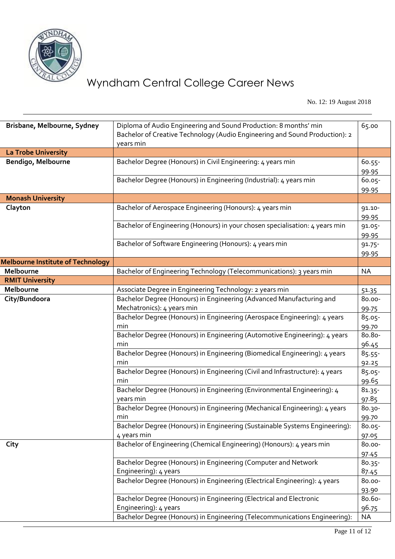

No. 12: 19 August 2018

| Brisbane, Melbourne, Sydney              | Diploma of Audio Engineering and Sound Production: 8 months' min<br>Bachelor of Creative Technology (Audio Engineering and Sound Production): 2<br>years min | 65.00              |
|------------------------------------------|--------------------------------------------------------------------------------------------------------------------------------------------------------------|--------------------|
| La Trobe University                      |                                                                                                                                                              |                    |
| Bendigo, Melbourne                       | Bachelor Degree (Honours) in Civil Engineering: 4 years min                                                                                                  | 60.55-             |
|                                          |                                                                                                                                                              | 99.95              |
|                                          | Bachelor Degree (Honours) in Engineering (Industrial): 4 years min                                                                                           | 60.05-             |
|                                          |                                                                                                                                                              | 99.95              |
| <b>Monash University</b>                 |                                                                                                                                                              |                    |
| Clayton                                  | Bachelor of Aerospace Engineering (Honours): 4 years min                                                                                                     | 91.10-             |
|                                          |                                                                                                                                                              | 99.95              |
|                                          | Bachelor of Engineering (Honours) in your chosen specialisation: 4 years min                                                                                 | 91.05-             |
|                                          |                                                                                                                                                              | 99.95              |
|                                          | Bachelor of Software Engineering (Honours): 4 years min                                                                                                      | $91.75 -$          |
|                                          |                                                                                                                                                              | 99.95              |
| <b>Melbourne Institute of Technology</b> |                                                                                                                                                              |                    |
| Melbourne                                | Bachelor of Engineering Technology (Telecommunications): 3 years min                                                                                         | <b>NA</b>          |
| <b>RMIT University</b>                   |                                                                                                                                                              |                    |
| Melbourne                                | Associate Degree in Engineering Technology: 2 years min                                                                                                      | 51.35              |
| City/Bundoora                            | Bachelor Degree (Honours) in Engineering (Advanced Manufacturing and                                                                                         | 80.00-             |
|                                          | Mechatronics): 4 years min                                                                                                                                   | 99.75              |
|                                          | Bachelor Degree (Honours) in Engineering (Aerospace Engineering): 4 years                                                                                    | 85.05-             |
|                                          | min                                                                                                                                                          | 99.70              |
|                                          | Bachelor Degree (Honours) in Engineering (Automotive Engineering): 4 years                                                                                   | 80.80-             |
|                                          | min                                                                                                                                                          | 96.45              |
|                                          | Bachelor Degree (Honours) in Engineering (Biomedical Engineering): 4 years                                                                                   | $85.55 -$          |
|                                          | min                                                                                                                                                          | 92.25              |
|                                          | Bachelor Degree (Honours) in Engineering (Civil and Infrastructure): 4 years<br>min                                                                          | 85.05-             |
|                                          | Bachelor Degree (Honours) in Engineering (Environmental Engineering): 4                                                                                      | 99.65<br>$81.35 -$ |
|                                          | years min                                                                                                                                                    | 97.85              |
|                                          | Bachelor Degree (Honours) in Engineering (Mechanical Engineering): 4 years                                                                                   | 80.30-             |
|                                          | min                                                                                                                                                          | 99.70              |
|                                          | Bachelor Degree (Honours) in Engineering (Sustainable Systems Engineering):                                                                                  | $80.05 -$          |
|                                          | 4 years min                                                                                                                                                  | 97.05              |
| City                                     | Bachelor of Engineering (Chemical Engineering) (Honours): 4 years min                                                                                        | 80.00-             |
|                                          |                                                                                                                                                              | 97.45              |
|                                          | Bachelor Degree (Honours) in Engineering (Computer and Network                                                                                               | 80.35-             |
|                                          | Engineering): 4 years                                                                                                                                        | 87.45              |
|                                          | Bachelor Degree (Honours) in Engineering (Electrical Engineering): 4 years                                                                                   | 80.00-             |
|                                          |                                                                                                                                                              | 93.90              |
|                                          | Bachelor Degree (Honours) in Engineering (Electrical and Electronic                                                                                          | 80.60-             |
|                                          | Engineering): 4 years                                                                                                                                        | 96.75              |
|                                          | Bachelor Degree (Honours) in Engineering (Telecommunications Engineering):                                                                                   | <b>NA</b>          |